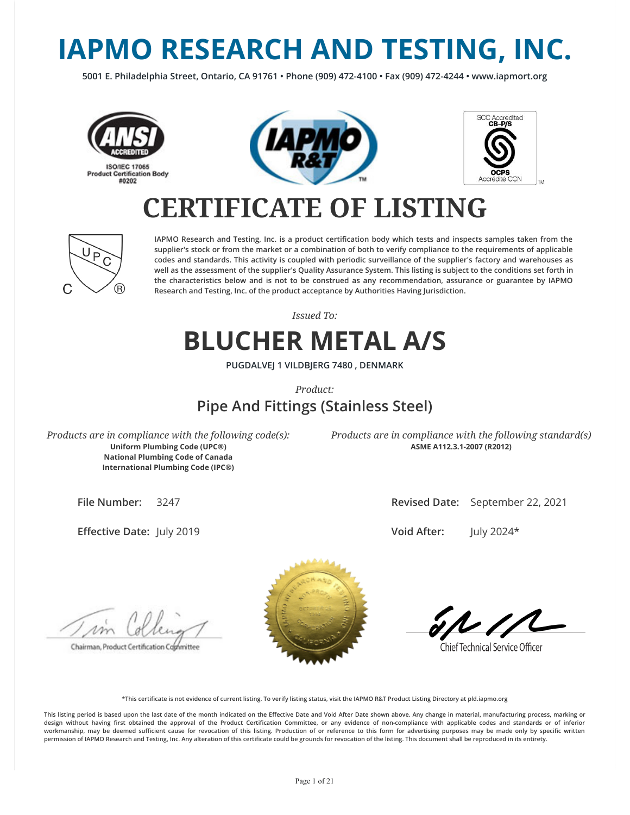# **IAPMO RESEARCH AND TESTING, INC.**

**5001 E. Philadelphia Street, Ontario, CA 91761 • Phone (909) 472-4100 • Fax (909) 472-4244 • www.iapmort.org**







### **CERTIFICATE OF LISTING**



**IAPMO Research and Testing, Inc. is a product certication body which tests and inspects samples taken from the supplier's stock or from the market or a combination of both to verify compliance to the requirements of applicable codes and standards. This activity is coupled with periodic surveillance of the supplier's factory and warehouses as well as the assessment of the supplier's Quality Assurance System. This listing is subject to the conditions set forth in the characteristics below and is not to be construed as any recommendation, assurance or guarantee by IAPMO Research and Testing, Inc. of the product acceptance by Authorities Having Jurisdiction.**

*Issued To:*

### **BLUCHER METAL A/S**

**PUGDALVEJ 1 VILDBJERG 7480 , DENMARK**

*Product:*

### **Pipe And Fittings (Stainless Steel)**

*Products are in compliance with the following code(s):* **Uniform Plumbing Code (UPC®) National Plumbing Code of Canada International Plumbing Code (IPC®)**

*Products are in compliance with the following standard(s)* **ASME A112.3.1-2007 (R2012)**

**File Number:** 3247

**Effective Date: July 2019** 

**Revised Date:** September 22, 2021

**Void After:** July 2024\*

Chairman, Product Certification Cophmittee



**Chief Technical Service Officer** 

**\*This certicate is not evidence of current listing. To verify listing status, visit the IAPMO R&T Product Listing Directory at pld.iapmo.org**

This listing period is based upon the last date of the month indicated on the Effective Date and Void After Date shown above. Any change in material, manufacturing process, marking or design without having first obtained the approval of the Product Certification Committee, or any evidence of non-compliance with applicable codes and standards or of inferior workmanship, may be deemed sufficient cause for revocation of this listing. Production of or reference to this form for advertising purposes may be made only by specific written **permission of IAPMO Research and Testing, Inc. Any alteration of this certicate could be grounds for revocation of the listing. This document shall be reproduced in its entirety.**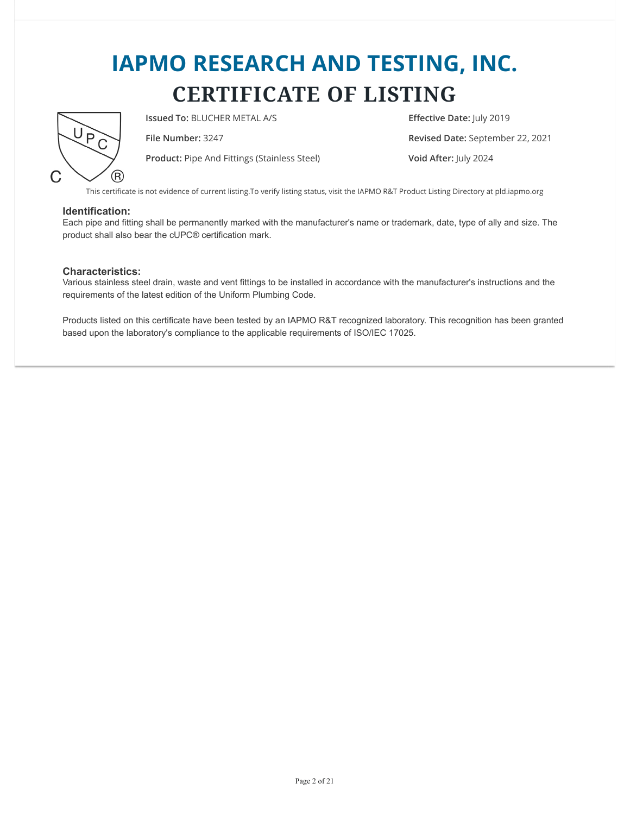

**Issued To:** BLUCHER METAL A/S **Effective Date:** July 2019

**Product:** Pipe And Fittings (Stainless Steel) **Void After:** July 2024

**File Number:** 3247 **Revised Date:** September 22, 2021

This certificate is not evidence of current listing.To verify listing status, visit the IAPMO R&T Product Listing Directory at pld.iapmo.org

#### **Identification:**

Each pipe and fitting shall be permanently marked with the manufacturer's name or trademark, date, type of ally and size. The product shall also bear the cUPC® certification mark.

#### **Characteristics:**

Various stainless steel drain, waste and vent fittings to be installed in accordance with the manufacturer's instructions and the requirements of the latest edition of the Uniform Plumbing Code.

Products listed on this certificate have been tested by an IAPMO R&T recognized laboratory. This recognition has been granted based upon the laboratory's compliance to the applicable requirements of ISO/IEC 17025.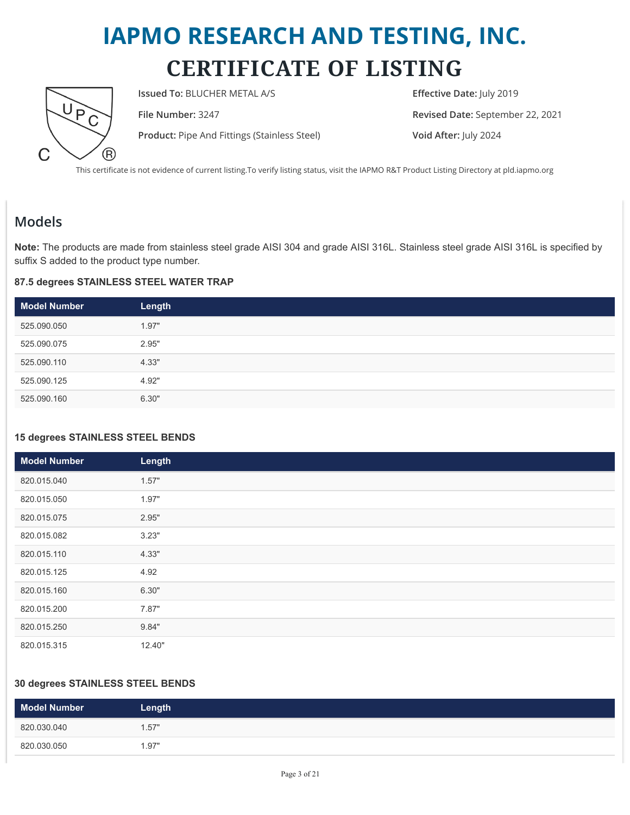

**Issued To:** BLUCHER METAL A/S **Effective Date:** July 2019

**Product:** Pipe And Fittings (Stainless Steel) **Void After:** July 2024

**File Number:** 3247 **Revised Date:** September 22, 2021

This certificate is not evidence of current listing.To verify listing status, visit the IAPMO R&T Product Listing Directory at pld.iapmo.org

### **Models**

**Note:** The products are made from stainless steel grade AISI 304 and grade AISI 316L. Stainless steel grade AISI 316L is specified by suffix S added to the product type number.

#### **87.5 degrees STAINLESS STEEL WATER TRAP**

| <b>Model Number</b> | Length |
|---------------------|--------|
| 525.090.050         | 1.97"  |
| 525.090.075         | 2.95"  |
| 525.090.110         | 4.33"  |
| 525.090.125         | 4.92"  |
| 525.090.160         | 6.30"  |

#### **15 degrees STAINLESS STEEL BENDS**

| <b>Model Number</b> | Length |  |
|---------------------|--------|--|
| 820.015.040         | 1.57"  |  |
| 820.015.050         | 1.97"  |  |
| 820.015.075         | 2.95"  |  |
| 820.015.082         | 3.23"  |  |
| 820.015.110         | 4.33"  |  |
| 820.015.125         | 4.92   |  |
| 820.015.160         | 6.30"  |  |
| 820.015.200         | 7.87"  |  |
| 820.015.250         | 9.84"  |  |
| 820.015.315         | 12.40" |  |

#### **30 degrees STAINLESS STEEL BENDS**

| <b>Model Number</b> | Length |
|---------------------|--------|
| 820.030.040         | 1.57"  |
| 820.030.050         | 1.97"  |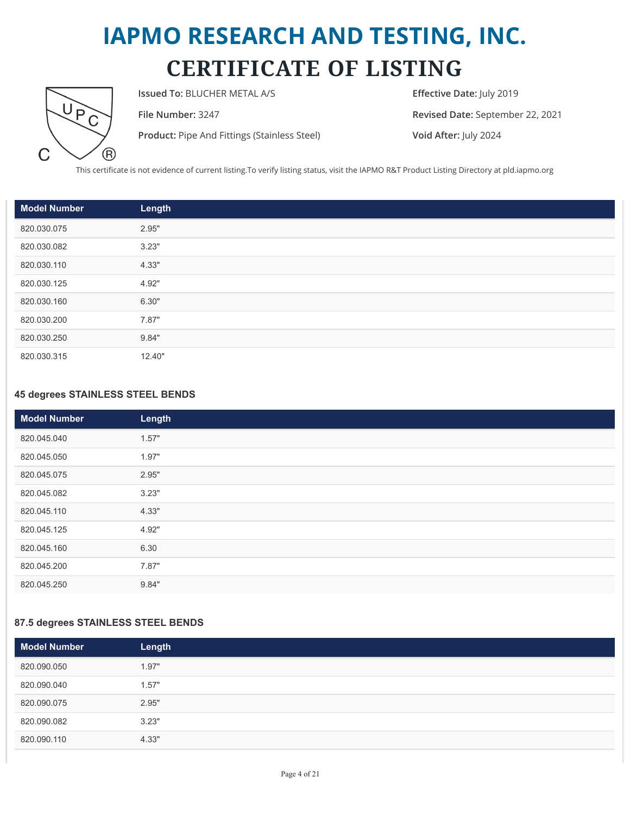

**Issued To:** BLUCHER METAL A/S **Effective Date:** July 2019

**Product:** Pipe And Fittings (Stainless Steel) **Void After:** July 2024

**File Number:** 3247 **Revised Date:** September 22, 2021

This certificate is not evidence of current listing.To verify listing status, visit the IAPMO R&T Product Listing Directory at pld.iapmo.org

| Model Number | Length |
|--------------|--------|
| 820.030.075  | 2.95"  |
| 820.030.082  | 3.23"  |
| 820.030.110  | 4.33"  |
| 820.030.125  | 4.92"  |
| 820.030.160  | 6.30"  |
| 820.030.200  | 7.87"  |
| 820.030.250  | 9.84"  |
| 820.030.315  | 12.40" |

#### **45 degrees STAINLESS STEEL BENDS**

| <b>Model Number</b> | Length |
|---------------------|--------|
| 820.045.040         | 1.57"  |
| 820.045.050         | 1.97"  |
| 820.045.075         | 2.95"  |
| 820.045.082         | 3.23"  |
| 820.045.110         | 4.33"  |
| 820.045.125         | 4.92"  |
| 820.045.160         | 6.30   |
| 820.045.200         | 7.87"  |
| 820.045.250         | 9.84"  |

#### **87.5 degrees STAINLESS STEEL BENDS**

| <b>Model Number</b> | Length |
|---------------------|--------|
| 820.090.050         | 1.97"  |
| 820.090.040         | 1.57"  |
| 820.090.075         | 2.95"  |
| 820.090.082         | 3.23"  |
| 820.090.110         | 4.33"  |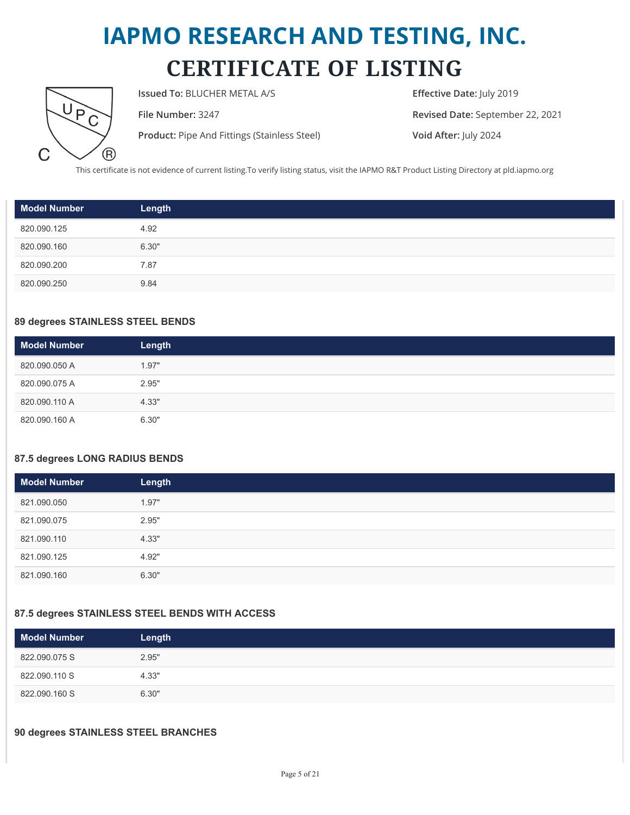

**Issued To:** BLUCHER METAL A/S **Effective Date:** July 2019

**Product:** Pipe And Fittings (Stainless Steel) **Void After:** July 2024

**File Number:** 3247 **Revised Date:** September 22, 2021

This certificate is not evidence of current listing.To verify listing status, visit the IAPMO R&T Product Listing Directory at pld.iapmo.org

| <b>Model Number</b> | Length |
|---------------------|--------|
| 820.090.125         | 4.92   |
| 820.090.160         | 6.30"  |
| 820.090.200         | 7.87   |
| 820.090.250         | 9.84   |

#### **89 degrees STAINLESS STEEL BENDS**

| <b>Model Number</b> | Length |
|---------------------|--------|
| 820.090.050 A       | 1.97"  |
| 820.090.075 A       | 2.95"  |
| 820.090.110 A       | 4.33"  |
| 820.090.160 A       | 6.30"  |

#### **87.5 degrees LONG RADIUS BENDS**

| Model Number | Length |
|--------------|--------|
| 821.090.050  | 1.97"  |
| 821.090.075  | 2.95"  |
| 821.090.110  | 4.33"  |
| 821.090.125  | 4.92"  |
| 821.090.160  | 6.30"  |

#### **87.5 degrees STAINLESS STEEL BENDS WITH ACCESS**

| <b>Model Number</b> | Length |
|---------------------|--------|
| 822.090.075 S       | 2.95"  |
| 822.090.110 S       | 4.33"  |
| 822.090.160 S       | 6.30"  |

#### **90 degrees STAINLESS STEEL BRANCHES**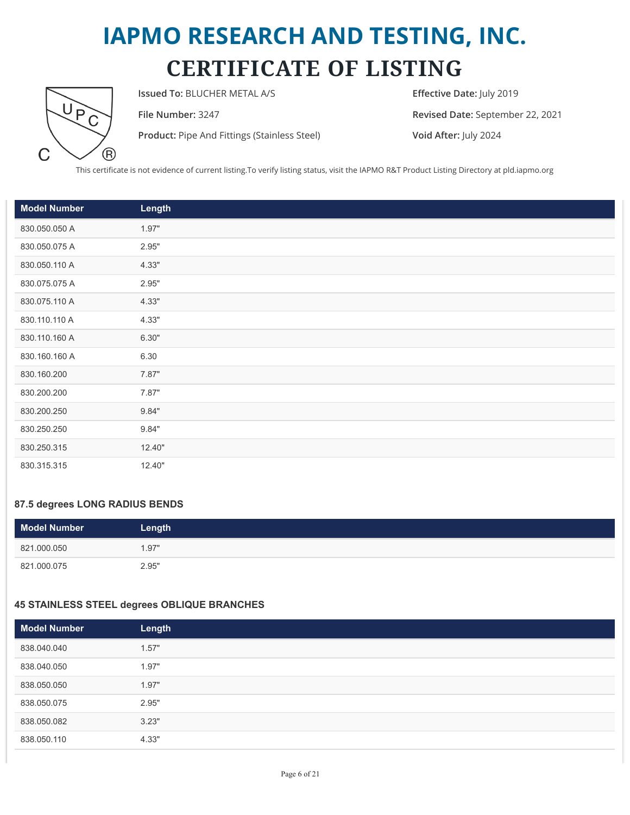

**Issued To:** BLUCHER METAL A/S **Effective Date:** July 2019

**Product:** Pipe And Fittings (Stainless Steel) **Void After:** July 2024

**File Number:** 3247 **Revised Date:** September 22, 2021

This certificate is not evidence of current listing.To verify listing status, visit the IAPMO R&T Product Listing Directory at pld.iapmo.org

| <b>Model Number</b> | Length |
|---------------------|--------|
| 830.050.050 A       | 1.97"  |
| 830.050.075 A       | 2.95"  |
| 830.050.110 A       | 4.33"  |
| 830.075.075 A       | 2.95"  |
| 830.075.110 A       | 4.33"  |
| 830.110.110 A       | 4.33"  |
| 830.110.160 A       | 6.30"  |
| 830.160.160 A       | 6.30   |
| 830.160.200         | 7.87"  |
| 830.200.200         | 7.87"  |
| 830.200.250         | 9.84"  |
| 830.250.250         | 9.84"  |
| 830.250.315         | 12.40" |
| 830.315.315         | 12.40" |

#### **87.5 degrees LONG RADIUS BENDS**

| <b>Model Number</b> | Length |
|---------------------|--------|
| 821.000.050         | 1.97"  |
| 821.000.075         | 2.95"  |

#### **45 STAINLESS STEEL degrees OBLIQUE BRANCHES**

| <b>Model Number</b> | Length |
|---------------------|--------|
| 838.040.040         | 1.57"  |
| 838.040.050         | 1.97"  |
| 838.050.050         | 1.97"  |
| 838.050.075         | 2.95"  |
| 838.050.082         | 3.23"  |
| 838.050.110         | 4.33"  |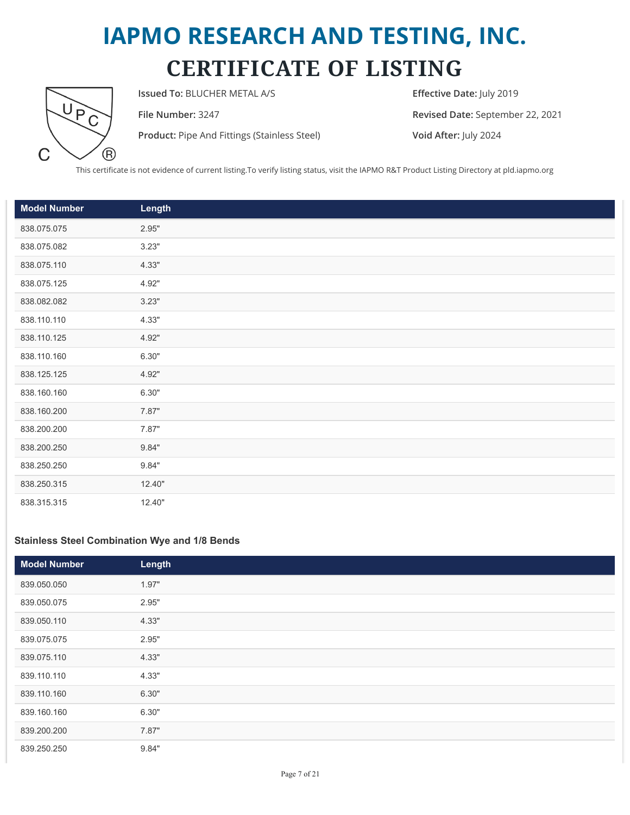

**Issued To:** BLUCHER METAL A/S **Effective Date:** July 2019

**Product:** Pipe And Fittings (Stainless Steel) **Void After:** July 2024

**File Number:** 3247 **Revised Date:** September 22, 2021

This certificate is not evidence of current listing.To verify listing status, visit the IAPMO R&T Product Listing Directory at pld.iapmo.org

| <b>Model Number</b> | Length |  |
|---------------------|--------|--|
| 838.075.075         | 2.95"  |  |
| 838.075.082         | 3.23"  |  |
| 838.075.110         | 4.33"  |  |
| 838.075.125         | 4.92"  |  |
| 838.082.082         | 3.23"  |  |
| 838.110.110         | 4.33"  |  |
| 838.110.125         | 4.92"  |  |
| 838.110.160         | 6.30"  |  |
| 838.125.125         | 4.92"  |  |
| 838.160.160         | 6.30"  |  |
| 838.160.200         | 7.87"  |  |
| 838.200.200         | 7.87"  |  |
| 838.200.250         | 9.84"  |  |
| 838.250.250         | 9.84"  |  |
| 838.250.315         | 12.40" |  |
| 838.315.315         | 12.40" |  |

#### **Stainless Steel Combination Wye and 1/8 Bends**

| <b>Model Number</b> | Length |
|---------------------|--------|
| 839.050.050         | 1.97"  |
| 839.050.075         | 2.95"  |
| 839.050.110         | 4.33"  |
| 839.075.075         | 2.95"  |
| 839.075.110         | 4.33"  |
| 839.110.110         | 4.33"  |
| 839.110.160         | 6.30"  |
| 839.160.160         | 6.30"  |
| 839.200.200         | 7.87"  |
| 839.250.250         | 9.84"  |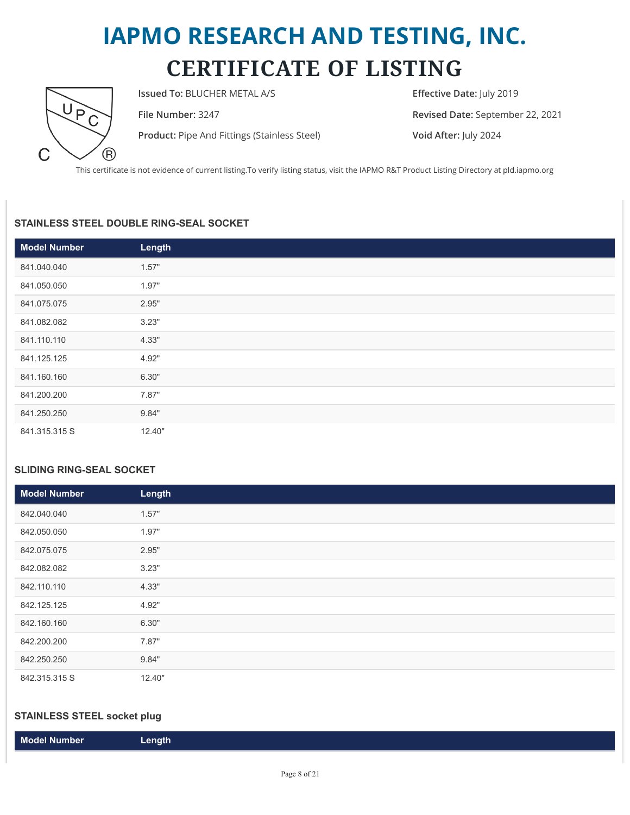

**Issued To:** BLUCHER METAL A/S **Effective Date:** July 2019

**Product:** Pipe And Fittings (Stainless Steel) **Void After:** July 2024

**File Number:** 3247 **Revised Date:** September 22, 2021

This certificate is not evidence of current listing.To verify listing status, visit the IAPMO R&T Product Listing Directory at pld.iapmo.org

#### **STAINLESS STEEL DOUBLE RING-SEAL SOCKET**

| <b>Model Number</b> | Length |
|---------------------|--------|
| 841.040.040         | 1.57"  |
| 841.050.050         | 1.97"  |
| 841.075.075         | 2.95"  |
| 841.082.082         | 3.23"  |
| 841.110.110         | 4.33"  |
| 841.125.125         | 4.92"  |
| 841.160.160         | 6.30"  |
| 841.200.200         | 7.87"  |
| 841.250.250         | 9.84"  |
| 841.315.315 S       | 12.40" |

#### **SLIDING RING-SEAL SOCKET**

| <b>Model Number</b> | Length |
|---------------------|--------|
| 842.040.040         | 1.57"  |
| 842.050.050         | 1.97"  |
| 842.075.075         | 2.95"  |
| 842.082.082         | 3.23"  |
| 842.110.110         | 4.33"  |
| 842.125.125         | 4.92"  |
| 842.160.160         | 6.30"  |
| 842.200.200         | 7.87"  |
| 842.250.250         | 9.84"  |
| 842.315.315 S       | 12.40" |

#### **STAINLESS STEEL socket plug**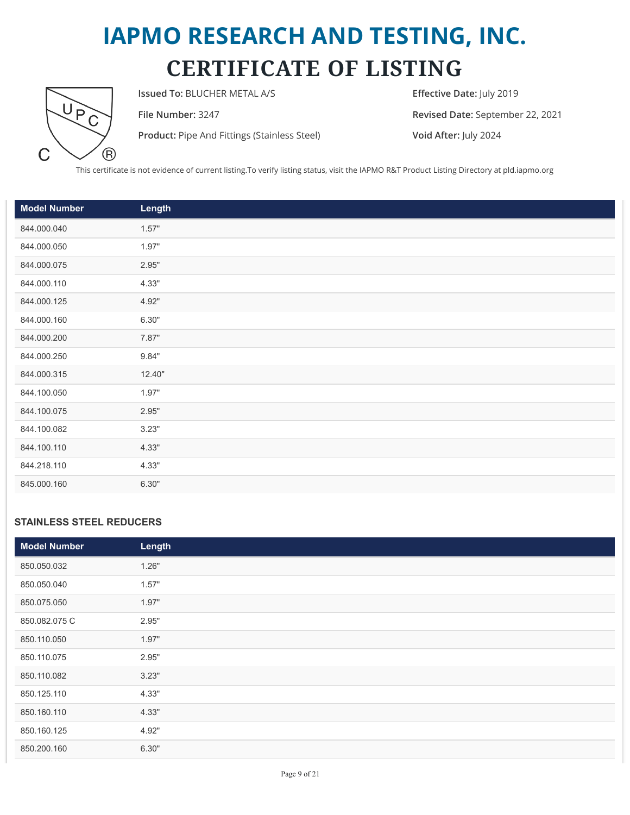

**Issued To:** BLUCHER METAL A/S **Effective Date:** July 2019

**Product:** Pipe And Fittings (Stainless Steel) **Void After:** July 2024

**File Number:** 3247 **Revised Date:** September 22, 2021

This certificate is not evidence of current listing.To verify listing status, visit the IAPMO R&T Product Listing Directory at pld.iapmo.org

| <b>Model Number</b> | Length |
|---------------------|--------|
| 844.000.040         | 1.57"  |
| 844.000.050         | 1.97"  |
| 844.000.075         | 2.95"  |
| 844.000.110         | 4.33"  |
| 844.000.125         | 4.92"  |
| 844.000.160         | 6.30"  |
| 844.000.200         | 7.87"  |
| 844.000.250         | 9.84"  |
| 844.000.315         | 12.40" |
| 844.100.050         | 1.97"  |
| 844.100.075         | 2.95"  |
| 844.100.082         | 3.23"  |
| 844.100.110         | 4.33"  |
| 844.218.110         | 4.33"  |
| 845.000.160         | 6.30"  |

#### **STAINLESS STEEL REDUCERS**

| <b>Model Number</b> | Length |
|---------------------|--------|
| 850.050.032         | 1.26"  |
| 850.050.040         | 1.57"  |
| 850.075.050         | 1.97"  |
| 850.082.075 C       | 2.95"  |
| 850.110.050         | 1.97"  |
| 850.110.075         | 2.95"  |
| 850.110.082         | 3.23"  |
| 850.125.110         | 4.33"  |
| 850.160.110         | 4.33"  |
| 850.160.125         | 4.92"  |
| 850.200.160         | 6.30"  |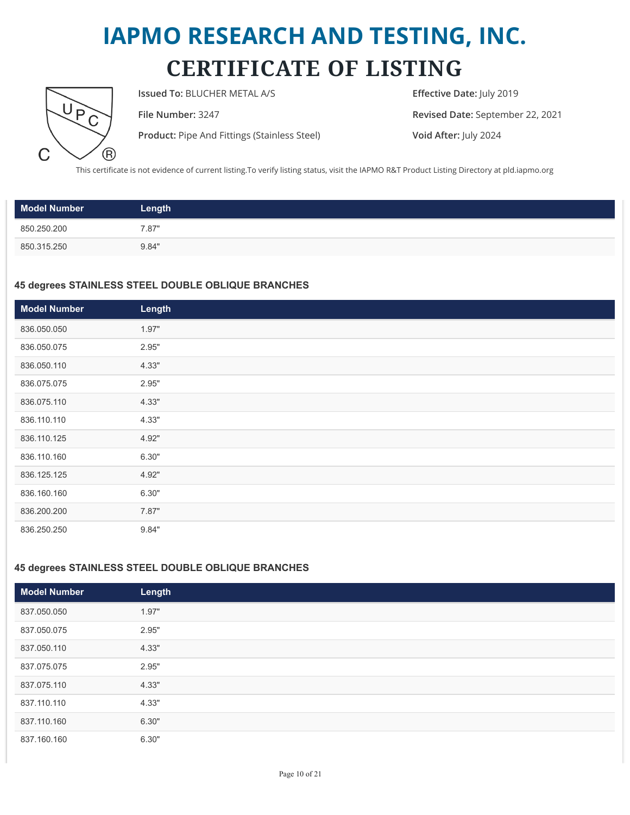

**Issued To:** BLUCHER METAL A/S **Effective Date:** July 2019

**Product:** Pipe And Fittings (Stainless Steel) **Void After:** July 2024

**File Number:** 3247 **Revised Date:** September 22, 2021

This certificate is not evidence of current listing.To verify listing status, visit the IAPMO R&T Product Listing Directory at pld.iapmo.org

| <b>Model Number</b> | Length |
|---------------------|--------|
| 850.250.200         | 7.87"  |
| 850.315.250         | 9.84"  |

#### **45 degrees STAINLESS STEEL DOUBLE OBLIQUE BRANCHES**

| <b>Model Number</b> | Length |
|---------------------|--------|
| 836.050.050         | 1.97"  |
| 836.050.075         | 2.95"  |
| 836.050.110         | 4.33"  |
| 836.075.075         | 2.95"  |
| 836.075.110         | 4.33"  |
| 836.110.110         | 4.33"  |
| 836.110.125         | 4.92"  |
| 836.110.160         | 6.30"  |
| 836.125.125         | 4.92"  |
| 836.160.160         | 6.30"  |
| 836.200.200         | 7.87"  |
| 836.250.250         | 9.84"  |

#### **45 degrees STAINLESS STEEL DOUBLE OBLIQUE BRANCHES**

| Model Number | Length |
|--------------|--------|
| 837.050.050  | 1.97"  |
| 837.050.075  | 2.95"  |
| 837.050.110  | 4.33"  |
| 837.075.075  | 2.95"  |
| 837.075.110  | 4.33"  |
| 837.110.110  | 4.33"  |
| 837.110.160  | 6.30"  |
| 837.160.160  | 6.30"  |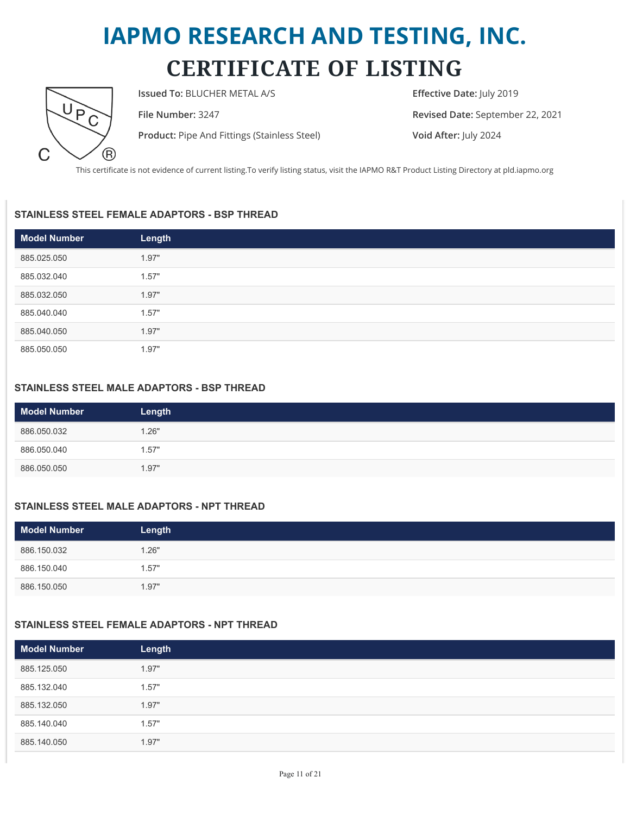

**Issued To:** BLUCHER METAL A/S **Effective Date:** July 2019

**Product:** Pipe And Fittings (Stainless Steel) **Void After:** July 2024

**File Number:** 3247 **Revised Date:** September 22, 2021

This certificate is not evidence of current listing.To verify listing status, visit the IAPMO R&T Product Listing Directory at pld.iapmo.org

#### **STAINLESS STEEL FEMALE ADAPTORS - BSP THREAD**

| <b>Model Number</b> | Length |
|---------------------|--------|
| 885.025.050         | 1.97"  |
| 885.032.040         | 1.57"  |
| 885.032.050         | 1.97"  |
| 885.040.040         | 1.57"  |
| 885.040.050         | 1.97"  |
| 885.050.050         | 1.97"  |

#### **STAINLESS STEEL MALE ADAPTORS - BSP THREAD**

| <b>Model Number</b> | Length |
|---------------------|--------|
| 886.050.032         | 1.26"  |
| 886.050.040         | 1.57"  |
| 886.050.050         | 1.97"  |

#### **STAINLESS STEEL MALE ADAPTORS - NPT THREAD**

| <b>Model Number</b> | Length |
|---------------------|--------|
| 886.150.032         | 1.26"  |
| 886.150.040         | 1.57"  |
| 886.150.050         | 1.97"  |

#### **STAINLESS STEEL FEMALE ADAPTORS - NPT THREAD**

| Model Number | Length |
|--------------|--------|
| 885.125.050  | 1.97"  |
| 885.132.040  | 1.57"  |
| 885.132.050  | 1.97"  |
| 885.140.040  | 1.57"  |
| 885.140.050  | 1.97"  |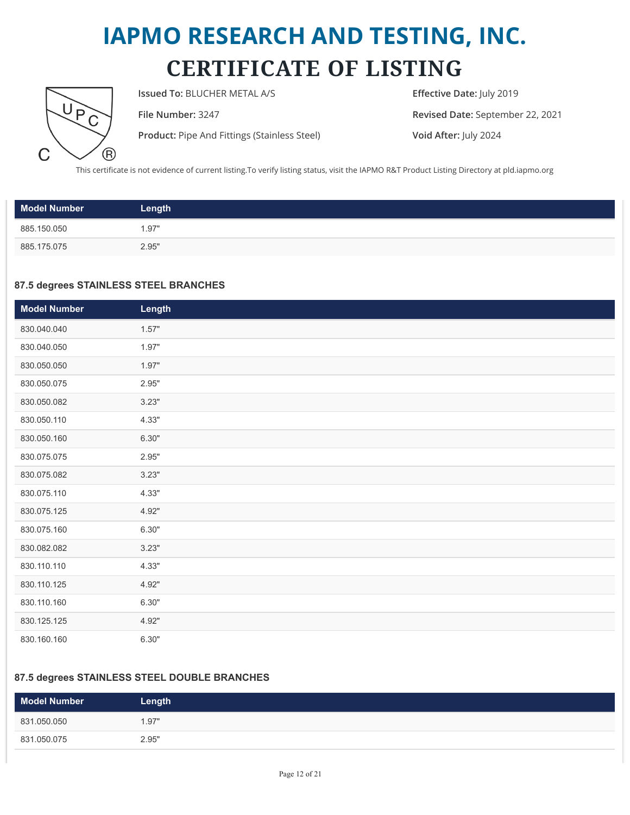

**Issued To:** BLUCHER METAL A/S **Effective Date:** July 2019

**Product:** Pipe And Fittings (Stainless Steel) **Void After:** July 2024

**File Number:** 3247 **Revised Date:** September 22, 2021

This certificate is not evidence of current listing.To verify listing status, visit the IAPMO R&T Product Listing Directory at pld.iapmo.org

| <b>Model Number</b> | Length |
|---------------------|--------|
| 885.150.050         | 1.97"  |
| 885.175.075         | 2.95"  |

#### **87.5 degrees STAINLESS STEEL BRANCHES**

| <b>Model Number</b> | Length |
|---------------------|--------|
| 830.040.040         | 1.57"  |
| 830.040.050         | 1.97"  |
| 830.050.050         | 1.97"  |
| 830.050.075         | 2.95"  |
| 830.050.082         | 3.23"  |
| 830.050.110         | 4.33"  |
| 830.050.160         | 6.30"  |
| 830.075.075         | 2.95"  |
| 830.075.082         | 3.23"  |
| 830.075.110         | 4.33"  |
| 830.075.125         | 4.92"  |
| 830.075.160         | 6.30"  |
| 830.082.082         | 3.23"  |
| 830.110.110         | 4.33"  |
| 830.110.125         | 4.92"  |
| 830.110.160         | 6.30"  |
| 830.125.125         | 4.92"  |
| 830.160.160         | 6.30"  |

#### **87.5 degrees STAINLESS STEEL DOUBLE BRANCHES**

| Model Number | Length |
|--------------|--------|
| 831.050.050  | 1.97"  |
| 831.050.075  | 2.95"  |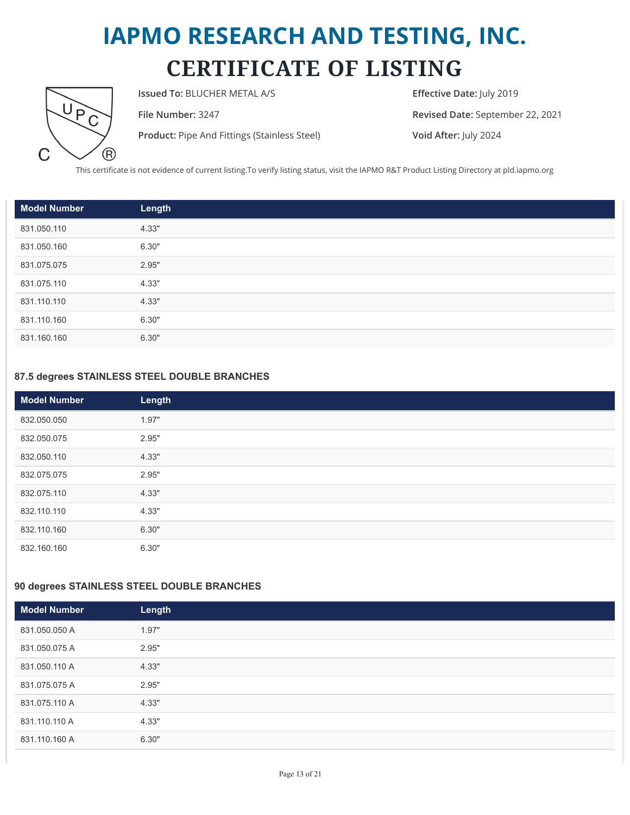

**Issued To:** BLUCHER METAL A/S **Effective Date:** July 2019

**Product:** Pipe And Fittings (Stainless Steel) **Void After:** July 2024

**File Number:** 3247 **Revised Date:** September 22, 2021

This certificate is not evidence of current listing.To verify listing status, visit the IAPMO R&T Product Listing Directory at pld.iapmo.org

| <b>Model Number</b> | Length |
|---------------------|--------|
| 831.050.110         | 4.33"  |
| 831.050.160         | 6.30"  |
| 831.075.075         | 2.95"  |
| 831.075.110         | 4.33"  |
| 831.110.110         | 4.33"  |
| 831.110.160         | 6.30"  |
| 831.160.160         | 6.30"  |

#### **87.5 degrees STAINLESS STEEL DOUBLE BRANCHES**

| <b>Model Number</b> | Length |
|---------------------|--------|
| 832.050.050         | 1.97"  |
| 832.050.075         | 2.95"  |
| 832.050.110         | 4.33"  |
| 832.075.075         | 2.95"  |
| 832.075.110         | 4.33"  |
| 832.110.110         | 4.33"  |
| 832.110.160         | 6.30"  |
| 832.160.160         | 6.30"  |

#### **90 degrees STAINLESS STEEL DOUBLE BRANCHES**

| <b>Model Number</b> | Length |
|---------------------|--------|
| 831.050.050 A       | 1.97"  |
| 831.050.075 A       | 2.95"  |
| 831.050.110 A       | 4.33"  |
| 831.075.075 A       | 2.95"  |
| 831.075.110 A       | 4.33"  |
| 831.110.110 A       | 4.33"  |
| 831.110.160 A       | 6.30"  |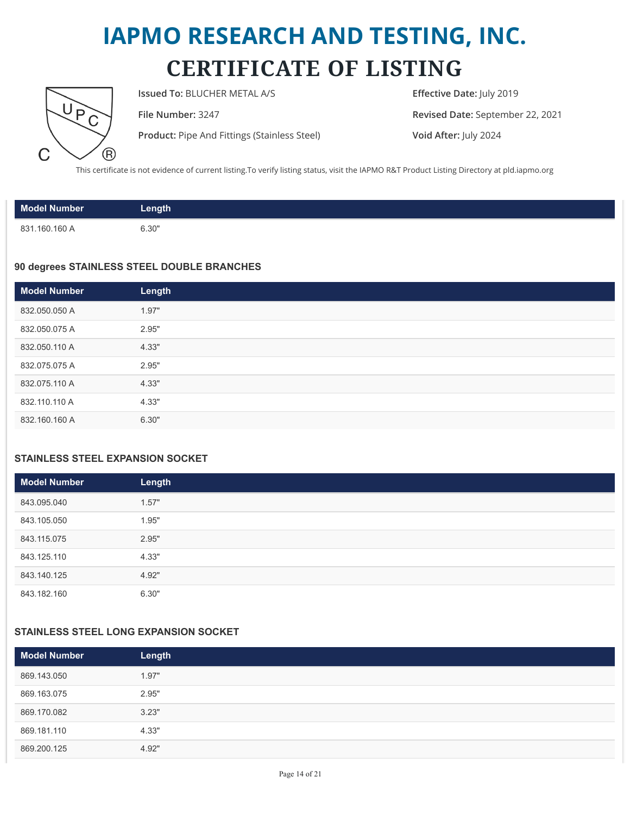

**Issued To:** BLUCHER METAL A/S **Effective Date:** July 2019

**Product:** Pipe And Fittings (Stainless Steel) **Void After:** July 2024

**File Number:** 3247 **Revised Date:** September 22, 2021

This certificate is not evidence of current listing.To verify listing status, visit the IAPMO R&T Product Listing Directory at pld.iapmo.org

| <b>Model Number</b> | Length |
|---------------------|--------|
| 831.160.160 A       | 6.30"  |

#### **90 degrees STAINLESS STEEL DOUBLE BRANCHES**

| <b>Model Number</b> | Length |
|---------------------|--------|
| 832.050.050 A       | 1.97"  |
| 832.050.075 A       | 2.95"  |
| 832.050.110 A       | 4.33"  |
| 832.075.075 A       | 2.95"  |
| 832.075.110 A       | 4.33"  |
| 832.110.110 A       | 4.33"  |
| 832.160.160 A       | 6.30"  |

#### **STAINLESS STEEL EXPANSION SOCKET**

| Model Number | Length |  |
|--------------|--------|--|
| 843.095.040  | 1.57"  |  |
| 843.105.050  | 1.95"  |  |
| 843.115.075  | 2.95"  |  |
| 843.125.110  | 4.33"  |  |
| 843.140.125  | 4.92"  |  |
| 843.182.160  | 6.30"  |  |

#### **STAINLESS STEEL LONG EXPANSION SOCKET**

| <b>Model Number</b> | Length |
|---------------------|--------|
| 869.143.050         | 1.97"  |
| 869.163.075         | 2.95"  |
| 869.170.082         | 3.23"  |
| 869.181.110         | 4.33"  |
| 869.200.125         | 4.92"  |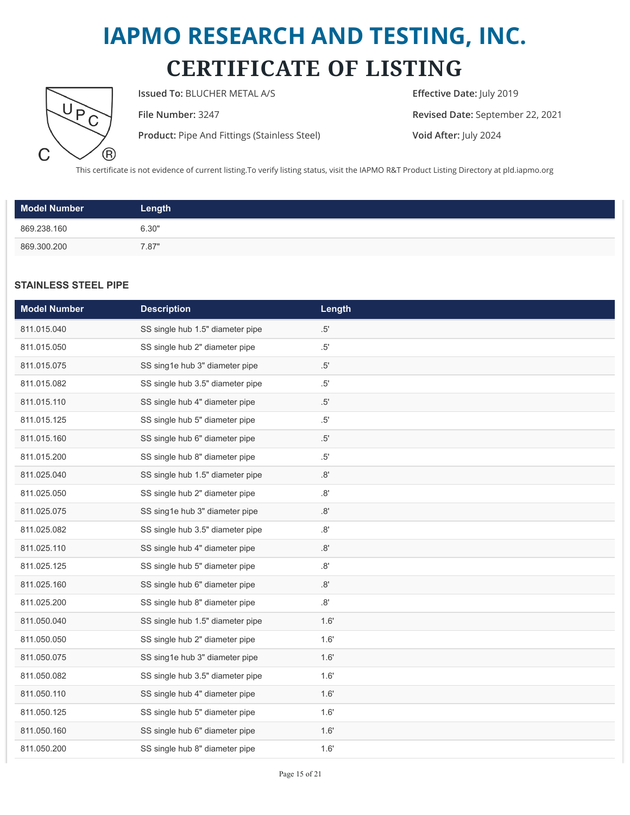

**Issued To:** BLUCHER METAL A/S **Effective Date:** July 2019

**Product:** Pipe And Fittings (Stainless Steel) **Void After:** July 2024

**File Number:** 3247 **Revised Date:** September 22, 2021

This certificate is not evidence of current listing.To verify listing status, visit the IAPMO R&T Product Listing Directory at pld.iapmo.org

| <b>Model Number</b> | Length |
|---------------------|--------|
| 869.238.160         | 6.30"  |
| 869.300.200         | 7.87"  |

#### **STAINLESS STEEL PIPE**

| <b>Model Number</b> | <b>Description</b>               | Length        |
|---------------------|----------------------------------|---------------|
| 811.015.040         | SS single hub 1.5" diameter pipe | .5'           |
| 811.015.050         | SS single hub 2" diameter pipe   | .5'           |
| 811.015.075         | SS sing1e hub 3" diameter pipe   | .5'           |
| 811.015.082         | SS single hub 3.5" diameter pipe | $.5^{\prime}$ |
| 811.015.110         | SS single hub 4" diameter pipe   | .5'           |
| 811.015.125         | SS single hub 5" diameter pipe   | $.5^{\prime}$ |
| 811.015.160         | SS single hub 6" diameter pipe   | .5'           |
| 811.015.200         | SS single hub 8" diameter pipe   | $.5^{\prime}$ |
| 811.025.040         | SS single hub 1.5" diameter pipe | $.8^{\circ}$  |
| 811.025.050         | SS single hub 2" diameter pipe   | .8'           |
| 811.025.075         | SS sing1e hub 3" diameter pipe   | .8'           |
| 811.025.082         | SS single hub 3.5" diameter pipe | .8'           |
| 811.025.110         | SS single hub 4" diameter pipe   | .8'           |
| 811.025.125         | SS single hub 5" diameter pipe   | .8'           |
| 811.025.160         | SS single hub 6" diameter pipe   | .8'           |
| 811.025.200         | SS single hub 8" diameter pipe   | .8'           |
| 811.050.040         | SS single hub 1.5" diameter pipe | 1.6'          |
| 811.050.050         | SS single hub 2" diameter pipe   | 1.6'          |
| 811.050.075         | SS sing1e hub 3" diameter pipe   | 1.6'          |
| 811.050.082         | SS single hub 3.5" diameter pipe | 1.6'          |
| 811.050.110         | SS single hub 4" diameter pipe   | 1.6'          |
| 811.050.125         | SS single hub 5" diameter pipe   | 1.6'          |
| 811.050.160         | SS single hub 6" diameter pipe   | 1.6'          |
| 811.050.200         | SS single hub 8" diameter pipe   | 1.6'          |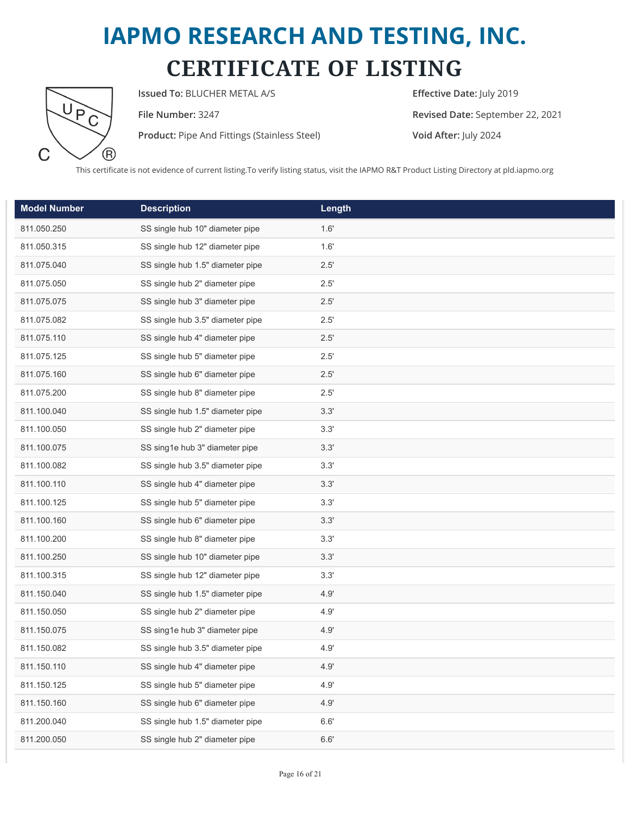

**Issued To:** BLUCHER METAL A/S **Effective Date:** July 2019

**Product:** Pipe And Fittings (Stainless Steel) **Void After:** July 2024

**File Number:** 3247 **Revised Date:** September 22, 2021

This certificate is not evidence of current listing.To verify listing status, visit the IAPMO R&T Product Listing Directory at pld.iapmo.org

| <b>Model Number</b> | <b>Description</b>               | Length        |
|---------------------|----------------------------------|---------------|
| 811.050.250         | SS single hub 10" diameter pipe  | 1.6'          |
| 811.050.315         | SS single hub 12" diameter pipe  | 1.6'          |
| 811.075.040         | SS single hub 1.5" diameter pipe | 2.5'          |
| 811.075.050         | SS single hub 2" diameter pipe   | 2.5'          |
| 811.075.075         | SS single hub 3" diameter pipe   | 2.5'          |
| 811.075.082         | SS single hub 3.5" diameter pipe | $2.5^{\circ}$ |
| 811.075.110         | SS single hub 4" diameter pipe   | 2.5'          |
| 811.075.125         | SS single hub 5" diameter pipe   | 2.5'          |
| 811.075.160         | SS single hub 6" diameter pipe   | $2.5^{\circ}$ |
| 811.075.200         | SS single hub 8" diameter pipe   | 2.5'          |
| 811.100.040         | SS single hub 1.5" diameter pipe | 3.3'          |
| 811.100.050         | SS single hub 2" diameter pipe   | 3.3'          |
| 811.100.075         | SS sing1e hub 3" diameter pipe   | 3.3'          |
| 811.100.082         | SS single hub 3.5" diameter pipe | 3.3'          |
| 811.100.110         | SS single hub 4" diameter pipe   | 3.3'          |
| 811.100.125         | SS single hub 5" diameter pipe   | 3.3'          |
| 811.100.160         | SS single hub 6" diameter pipe   | 3.3'          |
| 811.100.200         | SS single hub 8" diameter pipe   | 3.3'          |
| 811.100.250         | SS single hub 10" diameter pipe  | 3.3'          |
| 811.100.315         | SS single hub 12" diameter pipe  | 3.3'          |
| 811.150.040         | SS single hub 1.5" diameter pipe | 4.9'          |
| 811.150.050         | SS single hub 2" diameter pipe   | 4.9'          |
| 811.150.075         | SS sing1e hub 3" diameter pipe   | 4.9'          |
| 811.150.082         | SS single hub 3.5" diameter pipe | 4.9'          |
| 811.150.110         | SS single hub 4" diameter pipe   | 4.9'          |
| 811.150.125         | SS single hub 5" diameter pipe   | 4.9'          |
| 811.150.160         | SS single hub 6" diameter pipe   | 4.9'          |
| 811.200.040         | SS single hub 1.5" diameter pipe | 6.6'          |
| 811.200.050         | SS single hub 2" diameter pipe   | 6.6'          |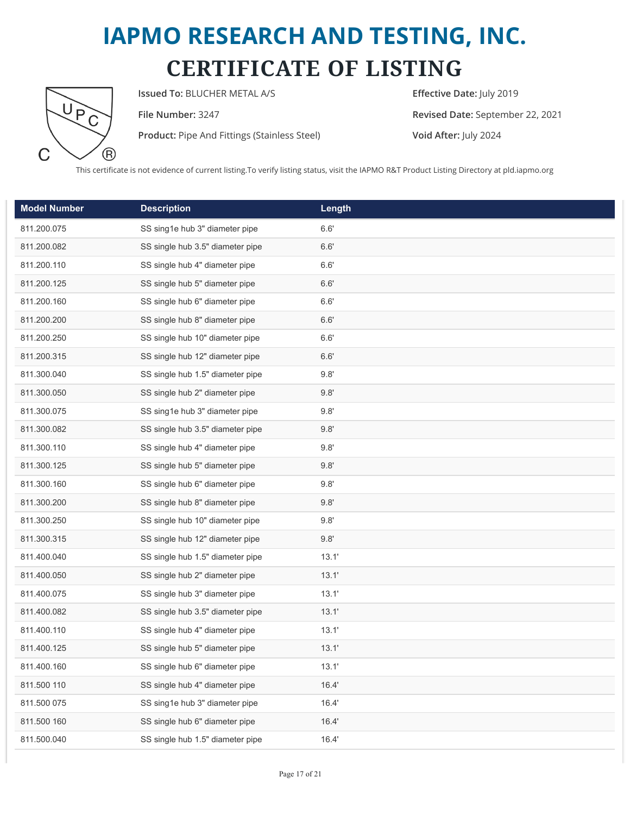

**Issued To:** BLUCHER METAL A/S **Effective Date:** July 2019

**Product:** Pipe And Fittings (Stainless Steel) **Void After:** July 2024

**File Number:** 3247 **Revised Date:** September 22, 2021

This certificate is not evidence of current listing.To verify listing status, visit the IAPMO R&T Product Listing Directory at pld.iapmo.org

| <b>Model Number</b> | <b>Description</b>               | Length |
|---------------------|----------------------------------|--------|
| 811.200.075         | SS sing1e hub 3" diameter pipe   | 6.6'   |
| 811.200.082         | SS single hub 3.5" diameter pipe | 6.6'   |
| 811.200.110         | SS single hub 4" diameter pipe   | 6.6'   |
| 811.200.125         | SS single hub 5" diameter pipe   | 6.6'   |
| 811.200.160         | SS single hub 6" diameter pipe   | 6.6'   |
| 811.200.200         | SS single hub 8" diameter pipe   | 6.6'   |
| 811.200.250         | SS single hub 10" diameter pipe  | 6.6'   |
| 811.200.315         | SS single hub 12" diameter pipe  | 6.6'   |
| 811.300.040         | SS single hub 1.5" diameter pipe | 9.8'   |
| 811.300.050         | SS single hub 2" diameter pipe   | 9.8'   |
| 811.300.075         | SS sing1e hub 3" diameter pipe   | 9.8'   |
| 811.300.082         | SS single hub 3.5" diameter pipe | 9.8'   |
| 811.300.110         | SS single hub 4" diameter pipe   | 9.8'   |
| 811.300.125         | SS single hub 5" diameter pipe   | 9.8'   |
| 811.300.160         | SS single hub 6" diameter pipe   | 9.8'   |
| 811.300.200         | SS single hub 8" diameter pipe   | 9.8'   |
| 811.300.250         | SS single hub 10" diameter pipe  | 9.8'   |
| 811.300.315         | SS single hub 12" diameter pipe  | 9.8'   |
| 811.400.040         | SS single hub 1.5" diameter pipe | 13.1'  |
| 811.400.050         | SS single hub 2" diameter pipe   | 13.1'  |
| 811.400.075         | SS single hub 3" diameter pipe   | 13.1'  |
| 811.400.082         | SS single hub 3.5" diameter pipe | 13.1'  |
| 811.400.110         | SS single hub 4" diameter pipe   | 13.1'  |
| 811.400.125         | SS single hub 5" diameter pipe   | 13.1'  |
| 811.400.160         | SS single hub 6" diameter pipe   | 13.1'  |
| 811.500 110         | SS single hub 4" diameter pipe   | 16.4'  |
| 811.500 075         | SS sing1e hub 3" diameter pipe   | 16.4'  |
| 811.500 160         | SS single hub 6" diameter pipe   | 16.4'  |
| 811.500.040         | SS single hub 1.5" diameter pipe | 16.4'  |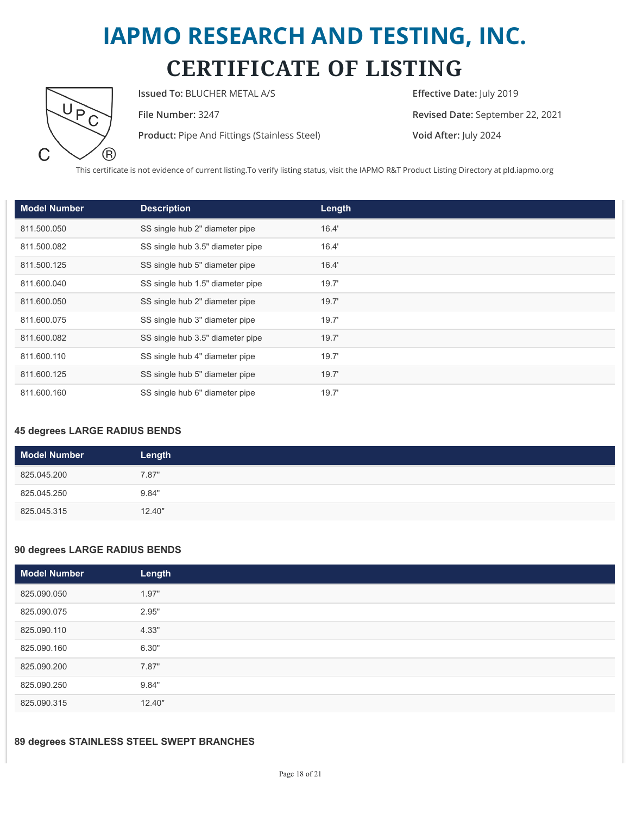

**Issued To:** BLUCHER METAL A/S **Effective Date:** July 2019

**Product:** Pipe And Fittings (Stainless Steel) **Void After:** July 2024

**File Number:** 3247 **Revised Date:** September 22, 2021

This certificate is not evidence of current listing.To verify listing status, visit the IAPMO R&T Product Listing Directory at pld.iapmo.org

| <b>Model Number</b> | <b>Description</b>               | Length |
|---------------------|----------------------------------|--------|
| 811.500.050         | SS single hub 2" diameter pipe   | 16.4'  |
| 811.500.082         | SS single hub 3.5" diameter pipe | 16.4'  |
| 811.500.125         | SS single hub 5" diameter pipe   | 16.4'  |
| 811.600.040         | SS single hub 1.5" diameter pipe | 19.7'  |
| 811.600.050         | SS single hub 2" diameter pipe   | 19.7'  |
| 811.600.075         | SS single hub 3" diameter pipe   | 19.7'  |
| 811.600.082         | SS single hub 3.5" diameter pipe | 19.7'  |
| 811.600.110         | SS single hub 4" diameter pipe   | 19.7'  |
| 811.600.125         | SS single hub 5" diameter pipe   | 19.7'  |
| 811.600.160         | SS single hub 6" diameter pipe   | 19.7'  |

#### **45 degrees LARGE RADIUS BENDS**

| <b>Model Number</b> | Length |
|---------------------|--------|
| 825.045.200         | 7.87"  |
| 825.045.250         | 9.84"  |
| 825.045.315         | 12.40" |

#### **90 degrees LARGE RADIUS BENDS**

| Model Number | Length |
|--------------|--------|
| 825.090.050  | 1.97"  |
| 825.090.075  | 2.95"  |
| 825.090.110  | 4.33"  |
| 825.090.160  | 6.30"  |
| 825.090.200  | 7.87"  |
| 825.090.250  | 9.84"  |
| 825.090.315  | 12.40" |

#### **89 degrees STAINLESS STEEL SWEPT BRANCHES**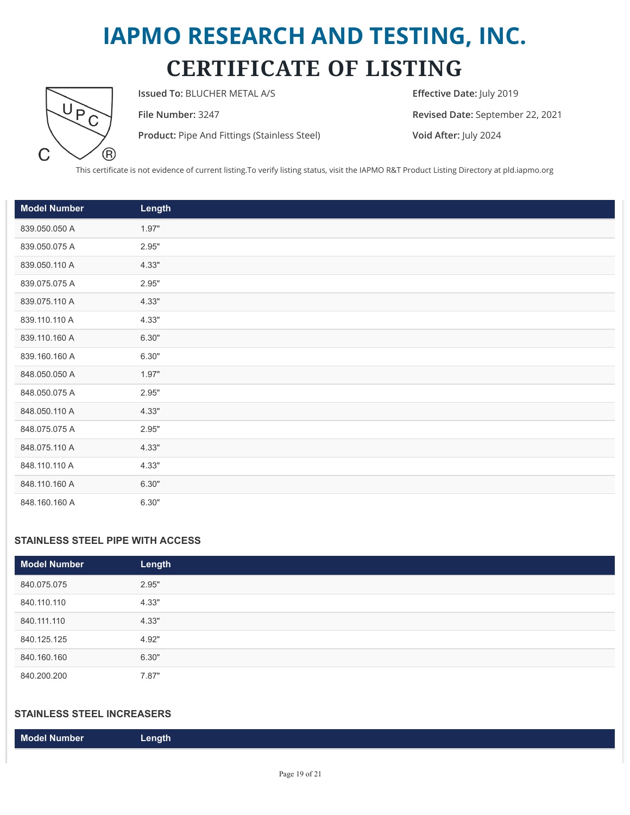

**Issued To:** BLUCHER METAL A/S **Effective Date:** July 2019

**Product:** Pipe And Fittings (Stainless Steel) **Void After:** July 2024

**File Number:** 3247 **Revised Date:** September 22, 2021

This certificate is not evidence of current listing.To verify listing status, visit the IAPMO R&T Product Listing Directory at pld.iapmo.org

| <b>Model Number</b> | Length |
|---------------------|--------|
| 839.050.050 A       | 1.97"  |
| 839.050.075 A       | 2.95"  |
| 839.050.110 A       | 4.33"  |
| 839.075.075 A       | 2.95"  |
| 839.075.110 A       | 4.33"  |
| 839.110.110 A       | 4.33"  |
| 839.110.160 A       | 6.30"  |
| 839.160.160 A       | 6.30"  |
| 848.050.050 A       | 1.97"  |
| 848.050.075 A       | 2.95"  |
| 848.050.110 A       | 4.33"  |
| 848.075.075 A       | 2.95"  |
| 848.075.110 A       | 4.33"  |
| 848.110.110 A       | 4.33"  |
| 848.110.160 A       | 6.30"  |
| 848.160.160 A       | 6.30"  |

#### **STAINLESS STEEL PIPE WITH ACCESS**

| <b>Model Number</b> | Length |
|---------------------|--------|
| 840.075.075         | 2.95"  |
| 840.110.110         | 4.33"  |
| 840.111.110         | 4.33"  |
| 840.125.125         | 4.92"  |
| 840.160.160         | 6.30"  |
| 840.200.200         | 7.87"  |

#### **STAINLESS STEEL INCREASERS**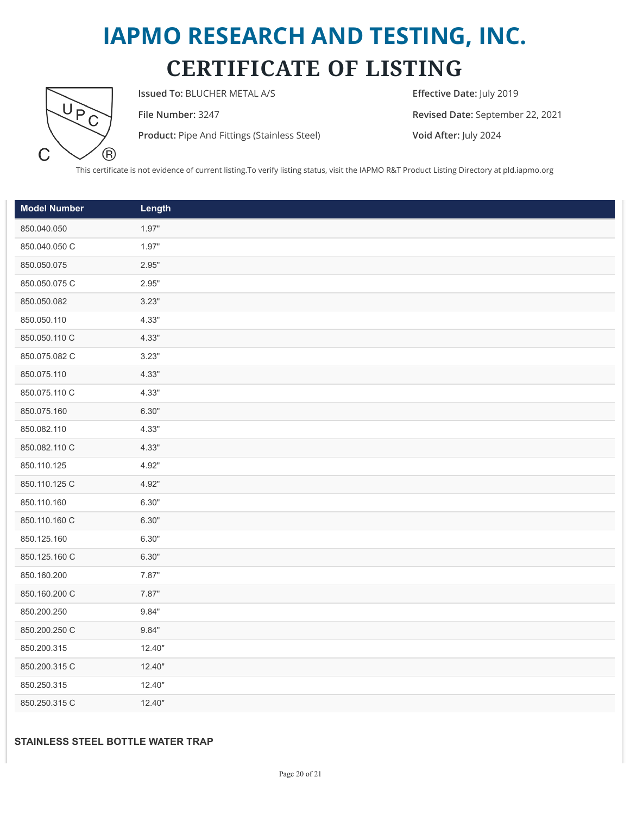

**Issued To:** BLUCHER METAL A/S **Effective Date:** July 2019

**Product:** Pipe And Fittings (Stainless Steel) **Void After:** July 2024

**File Number:** 3247 **Revised Date:** September 22, 2021

This certificate is not evidence of current listing.To verify listing status, visit the IAPMO R&T Product Listing Directory at pld.iapmo.org

| <b>Model Number</b> | Length |
|---------------------|--------|
| 850.040.050         | 1.97"  |
| 850.040.050 C       | 1.97"  |
| 850.050.075         | 2.95"  |
| 850.050.075 C       | 2.95"  |
| 850.050.082         | 3.23"  |
| 850.050.110         | 4.33"  |
| 850.050.110 C       | 4.33"  |
| 850.075.082 C       | 3.23"  |
| 850.075.110         | 4.33"  |
| 850.075.110 C       | 4.33"  |
| 850.075.160         | 6.30"  |
| 850.082.110         | 4.33"  |
| 850.082.110 C       | 4.33"  |
| 850.110.125         | 4.92"  |
| 850.110.125 C       | 4.92"  |
| 850.110.160         | 6.30"  |
| 850.110.160 C       | 6.30"  |
| 850.125.160         | 6.30"  |
| 850.125.160 C       | 6.30"  |
| 850.160.200         | 7.87"  |
| 850.160.200 C       | 7.87"  |
| 850.200.250         | 9.84"  |
| 850.200.250 C       | 9.84"  |
| 850.200.315         | 12.40" |
| 850.200.315 C       | 12.40" |
| 850.250.315         | 12.40" |
| 850.250.315 C       | 12.40" |

#### **STAINLESS STEEL BOTTLE WATER TRAP**